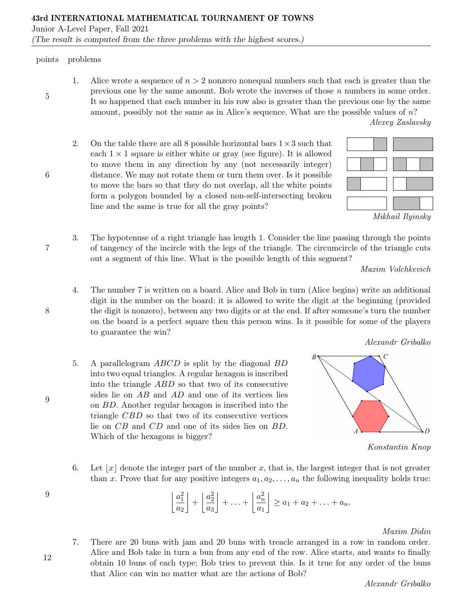## points problems

5

6

7

8

1. Alice wrote a sequence of  $n > 2$  nonzero nonequal numbers such that each is greater than the previous one by the same amount. Bob wrote the inverses of those  $n$  numbers in some order. It so happened that each number in his row also is greater than the previous one by the same amount, possibly not the same as in Alice's sequence. What are the possible values of n?

Alexey Zaslavsky

2. On the table there are all 8 possible horizontal bars  $1\times 3$  such that each  $1 \times 1$  square is either white or gray (see figure). It is allowed to move them in any direction by any (not necessarily integer) distance. We may not rotate them or turn them over. Is it possible to move the bars so that they do not overlap, all the white points form a polygon bounded by a closed non-self-intersecting broken line and the same is true for all the gray points?



3. The hypotenuse of a right triangle has length 1. Consider the line passing through the points of tangency of the incircle with the legs of the triangle. The circumcircle of the triangle cuts out a segment of this line. What is the possible length of this segment?

Maxim Volchkevich

Alexandr Gribalko

- 4. The number 7 is written on a board. Alice and Bob in turn (Alice begins) write an additional digit in the number on the board: it is allowed to write the digit at the beginning (provided the digit is nonzero), between any two digits or at the end. If after someone's turn the number on the board is a perfect square then this person wins. Is it possible for some of the players to guarantee the win?
- 5. A parallelogram ABCD is split by the diagonal BD into two equal triangles. A regular hexagon is inscribed into the triangle ABD so that two of its consecutive sides lie on AB and AD and one of its vertices lies on BD. Another regular hexagon is inscribed into the triangle CBD so that two of its consecutive vertices lie on CB and CD and one of its sides lies on BD. Which of the hexagons is bigger?



Konstantin Knop

6. Let  $|x|$  denote the integer part of the number x, that is, the largest integer that is not greater than x. Prove that for any positive integers  $a_1, a_2, \ldots, a_n$  the following inequality holds true:

$$
\left\lfloor \frac{a_1^2}{a_2} \right\rfloor + \left\lfloor \frac{a_2^2}{a_3} \right\rfloor + \ldots + \left\lfloor \frac{a_n^2}{a_1} \right\rfloor \ge a_1 + a_2 + \ldots + a_n.
$$

Maxim Didin

7. There are 20 buns with jam and 20 buns with treacle arranged in a row in random order. Alice and Bob take in turn a bun from any end of the row. Alice starts, and wants to finally obtain 10 buns of each type; Bob tries to prevent this. Is it true for any order of the buns that Alice can win no matter what are the actions of Bob?

9

12

9